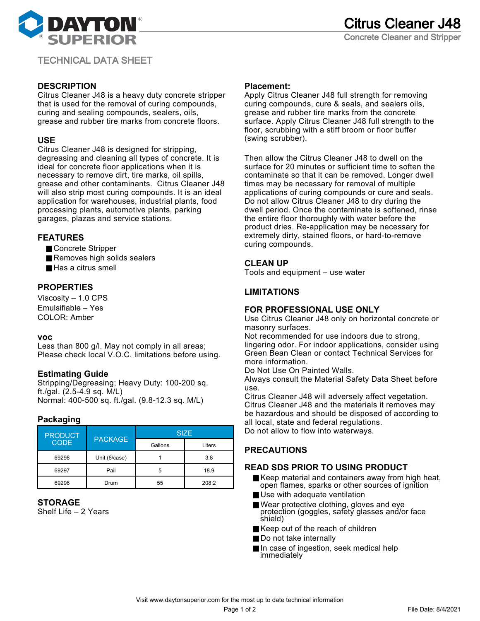

# TECHNICAL DATA SHEET

# **DESCRIPTION**

Citrus Cleaner J48 is a heavy duty concrete stripper that is used for the removal of curing compounds, curing and sealing compounds, sealers, oils, grease and rubber tire marks from concrete floors.

## **USE**

Citrus Cleaner J48 is designed for stripping, degreasing and cleaning all types of concrete. It is ideal for concrete floor applications when it is necessary to remove dirt, tire marks, oil spills, grease and other contaminants. Citrus Cleaner J48 will also strip most curing compounds. It is an ideal application for warehouses, industrial plants, food processing plants, automotive plants, parking garages, plazas and service stations.

## **FEATURES**

- Concrete Stripper
- Removes high solids sealers
- Has a citrus smell

### **PROPERTIES**

Viscosity – 1.0 CPS Emulsifiable – Yes COLOR: Amber

#### **voc**

Less than 800 g/l. May not comply in all areas; Please check local V.O.C. limitations before using.

### **Estimating Guide**

Stripping/Degreasing; Heavy Duty: 100-200 sq. ft./gal. (2.5-4.9 sq. M/L) Normal: 400-500 sq. ft./gal. (9.8-12.3 sq. M/L)

### **Packaging**

| <b>PRODUCT</b><br><b>CODE</b> | <b>PACKAGE</b> | <b>SIZE</b> |        |
|-------------------------------|----------------|-------------|--------|
|                               |                | Gallons     | Liters |
| 69298                         | Unit (6/case)  |             | 3.8    |
| 69297                         | Pail           | 5           | 18.9   |
| 69296                         | Drum           | 55          | 208.2  |

#### **STORAGE**

Shelf Life – 2 Years

#### **Placement:**

Apply Citrus Cleaner J48 full strength for removing curing compounds, cure & seals, and sealers oils, grease and rubber tire marks from the concrete surface. Apply Citrus Cleaner J48 full strength to the floor, scrubbing with a stiff broom or floor buffer (swing scrubber).

Then allow the Citrus Cleaner J48 to dwell on the surface for 20 minutes or sufficient time to soften the contaminate so that it can be removed. Longer dwell times may be necessary for removal of multiple applications of curing compounds or cure and seals. Do not allow Citrus Cleaner J48 to dry during the dwell period. Once the contaminate is softened, rinse the entire floor thoroughly with water before the product dries. Re-application may be necessary for extremely dirty, stained floors, or hard-to-remove curing compounds.

### **CLEAN UP**

Tools and equipment – use water

### **LIMITATIONS**

#### **FOR PROFESSIONAL USE ONLY**

Use Citrus Cleaner J48 only on horizontal concrete or masonry surfaces.

Not recommended for use indoors due to strong, lingering odor. For indoor applications, consider using Green Bean Clean or contact Technical Services for more information.

Do Not Use On Painted Walls.

Always consult the Material Safety Data Sheet before use.

Citrus Cleaner J48 will adversely affect vegetation. Citrus Cleaner J48 and the materials it removes may be hazardous and should be disposed of according to all local, state and federal regulations.

Do not allow to flow into waterways.

# **PRECAUTIONS**

### **READ SDS PRIOR TO USING PRODUCT**

- Keep material and containers away from high heat, open flames, sparks or other sources of ignition
- Use with adequate ventilation
- Wear protective clothing, gloves and eye protection (goggles, safety glasses and/or face shield)
- Keep out of the reach of children
- Do not take internally
- In case of ingestion, seek medical help immediately